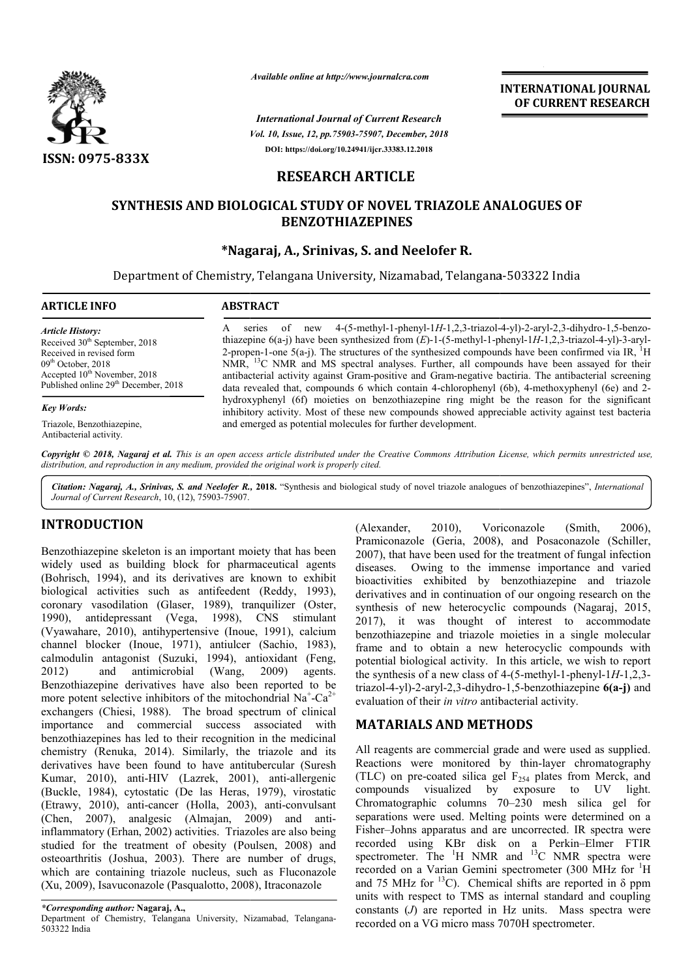

*Available online at http://www.journalcra.com*

*Vol. 10, Issue, 12, pp.75903-75907, December, 2018 International Journal of Current Research* **DOI: https://doi.org/10.24941/ijcr.33383.12.2018**

**INTERNATIONAL JOURNAL OF CURRENT RESEARCH**

# **RESEARCH ARTICLE**

# **SYNTHESIS AND BIOLOGICAL STUDY OF NOVEL TRIAZOLE ANALOGUES OF BIOLOGICAL STUDY BENZOTHIAZEPINES**

### **\*Nagaraj, A., Srinivas, S. and Neelofer R.**

Department of Chemistry, Telangana University, Nizamabad, Telangana-503322 India

| <b>ARTICLE INFO</b>                                                                                                                                                                                               | <b>ABSTRACT</b>                                                                                                                                                                                                                                                                                                                                                                                                                                                                                                                                                                                                                                      |  |  |  |  |
|-------------------------------------------------------------------------------------------------------------------------------------------------------------------------------------------------------------------|------------------------------------------------------------------------------------------------------------------------------------------------------------------------------------------------------------------------------------------------------------------------------------------------------------------------------------------------------------------------------------------------------------------------------------------------------------------------------------------------------------------------------------------------------------------------------------------------------------------------------------------------------|--|--|--|--|
| <b>Article History:</b><br>Received 30 <sup>th</sup> September, 2018<br>Received in revised form<br>$09th$ October, 2018<br>Accepted $10^{th}$ November, 2018<br>Published online 29 <sup>th</sup> December, 2018 | series of new 4-(5-methyl-1-phenyl-1H-1,2,3-triazol-4-yl)-2-aryl-2,3-dihydro-1,5-benzo-<br>A<br>thiazepine $6(a-j)$ have been synthesized from $(E)$ -1- $(5$ -methyl-1-phenyl-1H-1,2,3-triazol-4-yl)-3-aryl-<br>2-propen-1-one $5(a-j)$ . The structures of the synthesized compounds have been confirmed via IR, <sup>1</sup> H<br>NMR, <sup>13</sup> C NMR and MS spectral analyses. Further, all compounds have been assayed for their<br>antibacterial activity against Gram-positive and Gram-negative bactiria. The antibacterial screening<br>data revealed that, compounds 6 which contain 4-chlorophenyl (6b), 4-methoxyphenyl (6e) and 2- |  |  |  |  |
| <b>Key Words:</b>                                                                                                                                                                                                 | hydroxyphenyl (6f) moieties on benzothiazepine ring might be the reason for the significant<br>inhibitory activity. Most of these new compounds showed appreciable activity against test bacteria                                                                                                                                                                                                                                                                                                                                                                                                                                                    |  |  |  |  |
| Triazole, Benzothiazepine,<br>Antibacterial activity.                                                                                                                                                             | and emerged as potential molecules for further development.                                                                                                                                                                                                                                                                                                                                                                                                                                                                                                                                                                                          |  |  |  |  |

Copyright © 2018, Nagaraj et al. This is an open access article distributed under the Creative Commons Attribution License, which permits unrestricted use, *distribution, and reproduction in any medium, provided the original work is properly cited.*

Citation: Nagaraj, A., Srinivas, S. and Neelofer R., 2018. "Synthesis and biological study of novel triazole analogues of benzothiazepines", *International Journal of Current Research*, 10, (12), 75903-75907.

## **INTRODUCTION**

Benzothiazepine skeleton is an important moiety that has been widely used as building block for pharmaceutical agents (Bohrisch, 1994), and its derivatives are known to exhibit biological activities such as antifeedent (Reddy, 1993), coronary vasodilation (Glaser, 1989), tranquilizer ( (Oster, 1990), antidepressant (Vega, 1998), CNS stimulant (Vyawahare, 2010), antihypertensive (Inoue, 1991), calcium channel blocker (Inoue, 1971), antiulcer (Sachio, 1983), calmodulin antagonist (Suzuki, 1994), antioxidant (Feng, 2012) and antimicrobial (Wang, 2009) agents. Benzothiazepine derivatives have also been reported to be more potent selective inhibitors of the mitochondrial Na<sup>+</sup>-Ca<sup>2+</sup> exchangers (Chiesi, 1988). The broad spectrum of clinical importance and commercial success associated with benzothiazepines has led to their recognition in the medicinal chemistry (Renuka, 2014). Similarly, the triazole and its derivatives have been found to have antitubercular ( (Suresh Kumar, 2010), anti-HIV (Lazrek, 2001), anti-allergenic (Buckle, 1984), cytostatic (De las Heras, 1979), virostatic (Etrawy, 2010), anti-cancer (Holla, 2003), anti-convulsant (Chen, 2007), analgesic (Almajan, 2009) and antiinflammatory (Erhan, 2002) activities. Triazoles are also being studied for the treatment of obesity (Poulsen, 2008) and osteoarthritis (Joshua, 2003). There are number of drugs, which are containing triazole nucleus, such as Fluconazole (Xu, 2009), Isavuconazole (Pasqualotto, 2008), Itraconazole 90), antidepressant (Vega, 1998), CNS stim<br>yawahare, 2010), antihypertensive (Inoue, 1991), ca<br>annel blocker (Inoue, 1971), antiulcer (Sachio, 1<br>modulin antagonist (Suzuki, 1994), antioxidant (<br>12) and antimicrobial (Wang

(Alexander, 2010), Voriconazole (Smith, 2006), (Alexander, 2010), Voriconazole (Smith, 2006),<br>Pramiconazole (Geria, 2008), and Posaconazole (Schiller, 2007), that have been used for the treatment of fungal infection diseases. Owing to the immense importance and varied bioactivities exhibited by benzothiazepine and triazole derivatives and in continuation of our ongoing research on the synthesis of new heterocyclic compounds (Nagaraj, 2015, 2017), it was thought of interest to accommodate benzothiazepine and triazole moieties in a single molecular frame and to obtain a new heterocyclic compounds with potential biological activity. In this article, we wish to report the synthesis of a new class of 4-(5-methyl-1-phenyl-1 $H$ -1,2,3triazol-4-yl)-2-aryl-2,3-dihydro dihydro-1,5-benzothiazepine **6(a-j)** and evaluation of their *in vitro* antibacterial activity. 2007), that have been used for the treatment of fungal infection diseases. Owing to the immense importance and varied bioactivities exhibited by benzothiazepine and triazole derivatives and in continuation of our ongoing r frame and to obtain a new heterocyclic compounds with potential biological activity. In this article, we wish to report the synthesis of a new class of 4-(5-methyl-1-phenyl-1*H*-1,2,3-**INTERNATIONAL JOURNAL**<br>
INTERNATIONAL **OF CURRENT RESEARCH**<br>
Container, 2018<br>
SS.12.898<br>
SS.12.898<br>
SS.12.898<br>
SS.12.898<br>
ELE<br>
TEL TRIAZOLE ANALOGUES OF<br>
IES<br>
HERE INTERNATION (*EA*)-1-1/1-2.2-4-rrianol-4-yl)<sup>-2</sup>-aryl-2-

## **MATARIALS AND METHODS**

All reagents are commercial grade and were used as supplied. evaluation of their *in vitro* antibacterial activity.<br> **MATARIALS AND METHODS**<br>
All reagents are commercial grade and were used as supplied.<br>
Reactions were monitored by thin-layer chromatography (TLC) on pre-coated silica gel  $F<sub>254</sub>$  plates from Merck, and compounds visualized by exposure to UV light. compounds visualized by exposure to UV light.<br>Chromatographic columns 70–230 mesh silica gel for separations were used. Melting points were determined on a Fisher–Johns apparatus and are uncorrected. IR spectra were separations were used. Melting points were determined on a Fisher-Johns apparatus and are uncorrected. IR spectra were recorded using KBr disk on a Perkin-Elmer FTIR spectrometer. The  ${}^{1}H$  NMR and  ${}^{13}C$  NMR spectra were recorded on a Varian Gemini spectrometer (300 MHz for <sup>1</sup>H and 75 MHz for  ${}^{13}$ C). Chemical shifts are reported in  $\delta$  ppm units with respect to TMS as internal standard and coupling constants (*J*) are reported in Hz units. Mass spectra were recorded on a VG micro mass 7070H spectrometer.

*<sup>\*</sup>Corresponding author:* **Nagaraj, A.,** 

Department of Chemistry, Telangana University, Nizamabad, Telangana-503322 India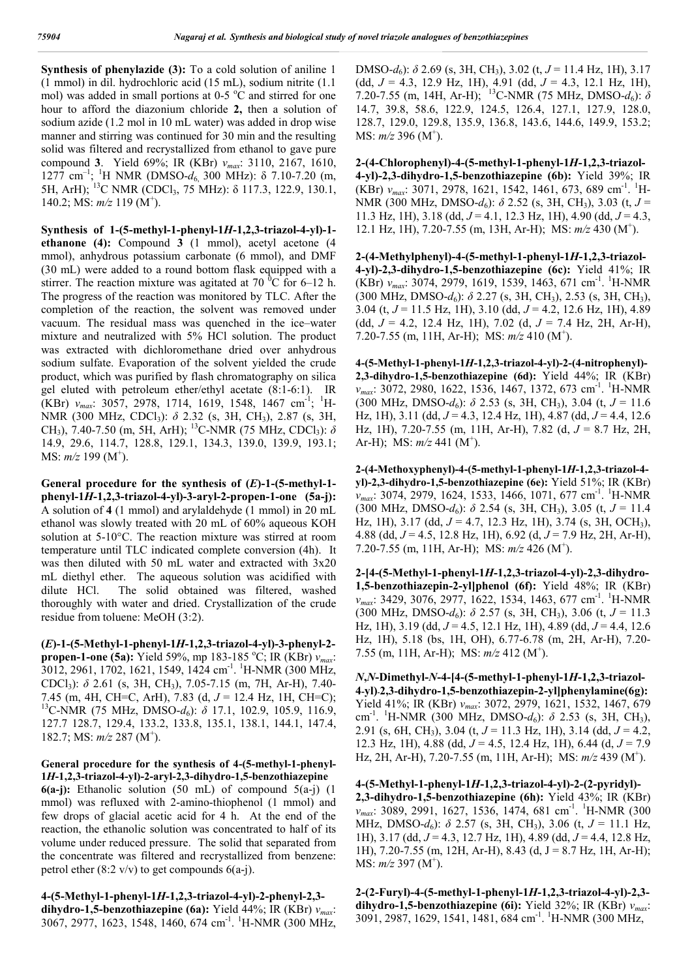**Synthesis of phenylazide (3):** To a cold solution of aniline 1 (1 mmol) in dil. hydrochloric acid (15 mL), sodium nitrite (1.1 mol) was added in small portions at 0-5 °C and stirred for one hour to afford the diazonium chloride **2,** then a solution of sodium azide (1.2 mol in 10 mL water) was added in drop wise manner and stirring was continued for 30 min and the resulting solid was filtered and recrystallized from ethanol to gave pure compound **3**. Yield 69%; IR (KBr) *νmax*: 3110, 2167, 1610, 1277 cm<sup>-1</sup>; <sup>1</sup>H NMR (DMSO- $d_6$ , 300 MHz): δ 7.10-7.20 (m, 5H, ArH); 13C NMR (CDCl3, 75 MHz): δ 117.3, 122.9, 130.1, 140.2; MS:  $m/z$  119 (M<sup>+</sup>).

**Synthesis of 1-(5-methyl-1-phenyl-1***H***-1,2,3-triazol-4-yl)-1 ethanone (4):** Compound **3** (1 mmol), acetyl acetone (4 mmol), anhydrous potassium carbonate (6 mmol), and DMF (30 mL) were added to a round bottom flask equipped with a stirrer. The reaction mixture was agitated at 70  $^{\circ}$ C for 6–12 h. The progress of the reaction was monitored by TLC. After the completion of the reaction, the solvent was removed under vacuum. The residual mass was quenched in the ice–water mixture and neutralized with 5% HCl solution. The product was extracted with dichloromethane dried over anhydrous sodium sulfate. Evaporation of the solvent yielded the crude product, which was purified by flash chromatography on silica gel eluted with petroleum ether/ethyl acetate (8:1-6:1). IR (KBr) *v<sub>max</sub>*: 3057, 2978, 1714, 1619, 1548, 1467 cm<sup>-1</sup>; <sup>1</sup>H-NMR (300 MHz, CDCl<sub>3</sub>): *δ* 2.32 (s, 3H, CH<sub>3</sub>), 2.87 (s, 3H, CH3), 7.40-7.50 (m, 5H, ArH); 13C-NMR (75 MHz, CDCl3): *δ*  14.9, 29.6, 114.7, 128.8, 129.1, 134.3, 139.0, 139.9, 193.1; MS: *m/z* 199 (M<sup>+</sup>).

**General procedure for the synthesis of (***E***)-1-(5-methyl-1 phenyl-1***H***-1,2,3-triazol-4-yl)-3-aryl-2-propen-1-one (5a-j):**  A solution of **4** (1 mmol) and arylaldehyde (1 mmol) in 20 mL ethanol was slowly treated with 20 mL of 60% aqueous KOH solution at 5-10°C. The reaction mixture was stirred at room temperature until TLC indicated complete conversion (4h). It was then diluted with 50 mL water and extracted with 3x20 mL diethyl ether. The aqueous solution was acidified with dilute HCl. The solid obtained was filtered, washed thoroughly with water and dried. Crystallization of the crude residue from toluene: MeOH (3:2).

**(***E***)-1-(5-Methyl-1-phenyl-1***H***-1,2,3-triazol-4-yl)-3-phenyl-2 propen-1-one (5a):** Yield 59%, mp 183-185 °C; IR (KBr)  $v_{max}$ : 3012, 2961, 1702, 1621, 1549, 1424 cm-1 . 1 H-NMR (300 MHz, CDCl3): *δ* 2.61 (s, 3H, CH3), 7.05-7.15 (m, 7H, Ar-H), 7.40- 7.45 (m, 4H, CH=C, ArH), 7.83 (d, *J* = 12.4 Hz, 1H, CH=C); <sup>13</sup>C-NMR (75 MHz, DMSO-d<sub>6</sub>): δ 17.1, 102.9, 105.9, 116.9, 127.7 128.7, 129.4, 133.2, 133.8, 135.1, 138.1, 144.1, 147.4, 182.7; MS:  $m/z$  287 (M<sup>+</sup>).

### **General procedure for the synthesis of 4-(5-methyl-1-phenyl-1***H***-1,2,3-triazol-4-yl)-2-aryl-2,3-dihydro-1,5-benzothiazepine**

**6(a-j):** Ethanolic solution (50 mL) of compound 5(a-j) (1 mmol) was refluxed with 2-amino-thiophenol (1 mmol) and few drops of glacial acetic acid for 4 h. At the end of the reaction, the ethanolic solution was concentrated to half of its volume under reduced pressure. The solid that separated from the concentrate was filtered and recrystallized from benzene: petrol ether  $(8:2 \text{ v/v})$  to get compounds  $6(a-j)$ .

**4-(5-Methyl-1-phenyl-1***H***-1,2,3-triazol-4-yl)-2-phenyl-2,3 dihydro-1,5-benzothiazepine (6a):** Yield 44%; IR (KBr) *νmax*: 3067, 2977, 1623, 1548, 1460, 674 cm<sup>-1</sup>. <sup>1</sup>H-NMR (300 MHz, DMSO-*d*6): *δ* 2.69 (s, 3H, CH3), 3.02 (t, *J* = 11.4 Hz, 1H), 3.17 (dd, *J* = 4.3, 12.9 Hz, 1H), 4.91 (dd, *J* = 4.3, 12.1 Hz, 1H), 7.20-7.55 (m, 14H, Ar-H); 13C-NMR (75 MHz, DMSO-*d*6): *δ* 14.7, 39.8, 58.6, 122.9, 124.5, 126.4, 127.1, 127.9, 128.0, 128.7, 129.0, 129.8, 135.9, 136.8, 143.6, 144.6, 149.9, 153.2; MS:  $m/z$  396 (M<sup>+</sup>).

**2-(4-Chlorophenyl)-4-(5-methyl-1-phenyl-1***H***-1,2,3-triazol-4-yl)-2,3-dihydro-1,5-benzothiazepine (6b):** Yield 39%; IR (KBr)  $v_{max}$ : 3071, 2978, 1621, 1542, 1461, 673, 689 cm<sup>-1</sup>. <sup>1</sup>H-NMR (300 MHz, DMSO-*d*<sub>6</sub>): *δ* 2.52 (s, 3H, CH<sub>3</sub>), 3.03 (t, *J* = 11.3 Hz, 1H), 3.18 (dd, *J* = 4.1, 12.3 Hz, 1H), 4.90 (dd, *J* = 4.3, 12.1 Hz, 1H), 7.20-7.55 (m, 13H, Ar-H); MS:  $m/z$  430 (M<sup>+</sup>).

**2-(4-Methylphenyl)-4-(5-methyl-1-phenyl-1***H***-1,2,3-triazol-4-yl)-2,3-dihydro-1,5-benzothiazepine (6c):** Yield 41%; IR (KBr)  $v_{max}$ : 3074, 2979, 1619, 1539, 1463, 671 cm<sup>-1</sup>. <sup>1</sup>H-NMR (300 MHz, DMSO-*d*<sub>6</sub>):  $\delta$  2.27 (s, 3H, CH<sub>3</sub>), 2.53 (s, 3H, CH<sub>3</sub>), 3.04 (t, *J* = 11.5 Hz, 1H), 3.10 (dd, *J* = 4.2, 12.6 Hz, 1H), 4.89 (dd, *J* = 4.2, 12.4 Hz, 1H), 7.02 (d, *J* = 7.4 Hz, 2H, Ar-H), 7.20-7.55 (m, 11H, Ar-H); MS:  $m/z$  410 (M<sup>+</sup>).

**4-(5-Methyl-1-phenyl-1***H***-1,2,3-triazol-4-yl)-2-(4-nitrophenyl)- 2,3-dihydro-1,5-benzothiazepine (6d):** Yield 44%; IR (KBr) *v*<sub>max</sub>: 3072, 2980, 1622, 1536, 1467, 1372, 673 cm<sup>-1</sup>. <sup>1</sup>H-NMR  $(300 \text{ MHz}, \text{ DMSO-}d_6)$ :  $\delta$  2.53 (s, 3H, CH<sub>3</sub>), 3.04 (t,  $J = 11.6$ Hz, 1H), 3.11 (dd, *J* = 4.3, 12.4 Hz, 1H), 4.87 (dd, *J* = 4.4, 12.6 Hz, 1H), 7.20-7.55 (m, 11H, Ar-H), 7.82 (d, *J* = 8.7 Hz, 2H, Ar-H); MS:  $m/z$  441 (M<sup>+</sup>).

**2-(4-Methoxyphenyl)-4-(5-methyl-1-phenyl-1***H***-1,2,3-triazol-4 yl)-2,3-dihydro-1,5-benzothiazepine (6e):** Yield 51%; IR (KBr) *v<sub>max</sub>*: 3074, 2979, 1624, 1533, 1466, 1071, 677 cm<sup>-1</sup>. <sup>1</sup>H-NMR (300 MHz, DMSO- $d_6$ ):  $\delta$  2.54 (s, 3H, CH<sub>3</sub>), 3.05 (t,  $J = 11.4$ Hz, 1H), 3.17 (dd, *J* = 4.7, 12.3 Hz, 1H), 3.74 (s, 3H, OCH3), 4.88 (dd, *J* = 4.5, 12.8 Hz, 1H), 6.92 (d, *J* = 7.9 Hz, 2H, Ar-H), 7.20-7.55 (m, 11H, Ar-H); MS:  $m/z$  426 (M<sup>+</sup>).

**2-[4-(5-Methyl-1-phenyl-1***H***-1,2,3-triazol-4-yl)-2,3-dihydro-1,5-benzothiazepin-2-yl]phenol (6f):** Yield 48%; IR (KBr) *v<sub>max</sub>*: 3429, 3076, 2977, 1622, 1534, 1463, 677 cm<sup>-1</sup>. <sup>1</sup>H-NMR  $(300 \text{ MHz}, \text{ DMSO-}d_6): \delta$  2.57 (s, 3H, CH<sub>3</sub>), 3.06 (t,  $J = 11.3$ Hz, 1H), 3.19 (dd, *J* = 4.5, 12.1 Hz, 1H), 4.89 (dd, *J* = 4.4, 12.6 Hz, 1H), 5.18 (bs, 1H, OH), 6.77-6.78 (m, 2H, Ar-H), 7.20- 7.55 (m, 11H, Ar-H); MS:  $m/z$  412 (M<sup>+</sup>).

*N***,***N***-Dimethyl-***N***-4-[4-(5-methyl-1-phenyl-1***H***-1,2,3-triazol-4-yl)-2,3-dihydro-1,5-benzothiazepin-2-yl]phenylamine(6g):**  Yield 41%; IR (KBr) *νmax*: 3072, 2979, 1621, 1532, 1467, 679 cm<sup>-1</sup>. <sup>1</sup>H-NMR (300 MHz, DMSO-d<sub>6</sub>): δ 2.53 (s, 3H, CH<sub>3</sub>), 2.91 (s, 6H, CH3), 3.04 (t, *J* = 11.3 Hz, 1H), 3.14 (dd, *J* = 4.2, 12.3 Hz, 1H), 4.88 (dd, *J* = 4.5, 12.4 Hz, 1H), 6.44 (d, *J* = 7.9 Hz, 2H, Ar-H), 7.20-7.55 (m, 11H, Ar-H); MS:  $m/z$  439 (M<sup>+</sup>).

**4-(5-Methyl-1-phenyl-1***H***-1,2,3-triazol-4-yl)-2-(2-pyridyl)- 2,3-dihydro-1,5-benzothiazepine (6h):** Yield 43%; IR (KBr) *v<sub>max</sub>*: 3089, 2991, 1627, 1536, 1474, 681 cm<sup>-1</sup>. <sup>1</sup>H-NMR (300 MHz, DMSO- $d_6$ ):  $\delta$  2.57 (s, 3H, CH<sub>3</sub>), 3.06 (t,  $J = 11.1$  Hz, 1H), 3.17 (dd, *J* = 4.3, 12.7 Hz, 1H), 4.89 (dd, *J* = 4.4, 12.8 Hz, 1H),  $7.20 - 7.55$  (m, 12H, Ar-H), 8.43 (d, J = 8.7 Hz, 1H, Ar-H); MS:  $m/z$  397 (M<sup>+</sup>).

**2-(2-Furyl)-4-(5-methyl-1-phenyl-1***H***-1,2,3-triazol-4-yl)-2,3 dihydro-1,5-benzothiazepine (6i):** Yield 32%; IR (KBr) *νmax*: 3091, 2987, 1629, 1541, 1481, 684 cm<sup>-1</sup>. <sup>1</sup>H-NMR (300 MHz,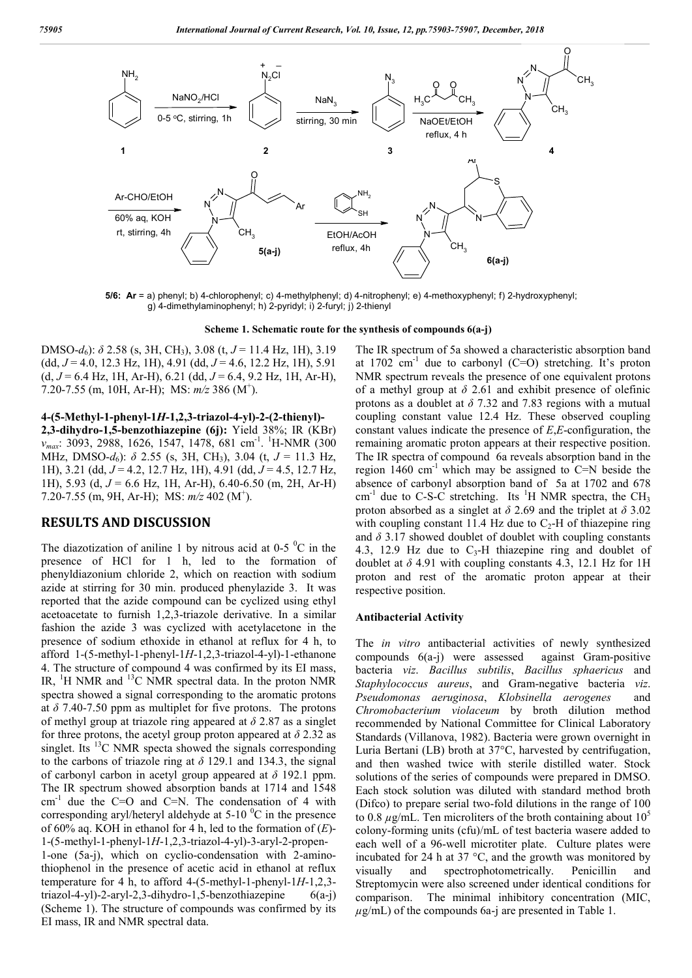

**5/6: Ar** = a) phenyl; b) 4-chlorophenyl; c) 4-methylphenyl; d) 4-nitrophenyl; e) 4-methoxyphenyl; f) 2-hydroxyphenyl; g) 4-dimethylaminophenyl; h) 2-pyridyl; i) 2-furyl; j) 2-thienyl

**Scheme 1. Schematic route for the synthesis of compounds 6(a-j)**

DMSO-*d*6): *δ* 2.58 (s, 3H, CH3), 3.08 (t, *J* = 11.4 Hz, 1H), 3.19 (dd, *J* = 4.0, 12.3 Hz, 1H), 4.91 (dd, *J* = 4.6, 12.2 Hz, 1H), 5.91 (d, *J* = 6.4 Hz, 1H, Ar-H), 6.21 (dd, *J* = 6.4, 9.2 Hz, 1H, Ar-H), 7.20-7.55 (m, 10H, Ar-H); MS:  $m/z$  386 (M<sup>+</sup>).

**4-(5-Methyl-1-phenyl-1***H***-1,2,3-triazol-4-yl)-2-(2-thienyl)-**

**2,3-dihydro-1,5-benzothiazepine (6j):** Yield 38%; IR (KBr) *v<sub>max</sub>*: 3093, 2988, 1626, 1547, 1478, 681 cm<sup>-1</sup>. <sup>1</sup>H-NMR (300 MHz, DMSO- $d_6$ ):  $\delta$  2.55 (s, 3H, CH<sub>3</sub>), 3.04 (t,  $J = 11.3$  Hz, 1H), 3.21 (dd, *J* = 4.2, 12.7 Hz, 1H), 4.91 (dd, *J* = 4.5, 12.7 Hz, 1H), 5.93 (d, *J* = 6.6 Hz, 1H, Ar-H), 6.40-6.50 (m, 2H, Ar-H) 7.20-7.55 (m, 9H, Ar-H); MS:  $m/z$  402 (M<sup>+</sup>).

### **RESULTS AND DISCUSSION**

The diazotization of aniline 1 by nitrous acid at 0-5  $\mathrm{^{0}C}$  in the presence of HCl for 1 h, led to the formation of phenyldiazonium chloride 2, which on reaction with sodium azide at stirring for 30 min. produced phenylazide 3. It was reported that the azide compound can be cyclized using ethyl acetoacetate to furnish 1,2,3-triazole derivative. In a similar fashion the azide 3 was cyclized with acetylacetone in the presence of sodium ethoxide in ethanol at reflux for 4 h, to afford 1-(5-methyl-1-phenyl-1*H*-1,2,3-triazol-4-yl)-1-ethanone 4. The structure of compound 4 was confirmed by its EI mass, IR,  ${}^{1}H$  NMR and  ${}^{13}C$  NMR spectral data. In the proton NMR spectra showed a signal corresponding to the aromatic protons at  $\delta$  7.40-7.50 ppm as multiplet for five protons. The protons of methyl group at triazole ring appeared at *δ* 2.87 as a singlet for three protons, the acetyl group proton appeared at  $\delta$  2.32 as singlet. Its  ${}^{13}C$  NMR specta showed the signals corresponding to the carbons of triazole ring at  $\delta$  129.1 and 134.3, the signal of carbonyl carbon in acetyl group appeared at *δ* 192.1 ppm. The IR spectrum showed absorption bands at 1714 and 1548  $cm^{-1}$  due the C=O and C=N. The condensation of 4 with corresponding aryl/heteryl aldehyde at 5-10  $^{0}$ C in the presence of 60% aq. KOH in ethanol for 4 h, led to the formation of (*E*)- 1-(5-methyl-1-phenyl-1*H*-1,2,3-triazol-4-yl)-3-aryl-2-propen-1-one (5a-j), which on cyclio-condensation with 2-amino-

thiophenol in the presence of acetic acid in ethanol at reflux temperature for 4 h, to afford 4-(5-methyl-1-phenyl-1*H*-1,2,3 triazol-4-yl)-2-aryl-2,3-dihydro-1,5-benzothiazepine  $6(a-i)$ (Scheme 1). The structure of compounds was confirmed by its EI mass, IR and NMR spectral data.

The IR spectrum of 5a showed a characteristic absorption band at 1702  $cm^{-1}$  due to carbonyl (C=O) stretching. It's proton NMR spectrum reveals the presence of one equivalent protons of a methyl group at *δ* 2.61 and exhibit presence of olefinic protons as a doublet at *δ* 7.32 and 7.83 regions with a mutual coupling constant value 12.4 Hz. These observed coupling constant values indicate the presence of *E*,*E*-configuration, the remaining aromatic proton appears at their respective position. The IR spectra of compound 6a reveals absorption band in the region  $1460 \text{ cm}^{-1}$  which may be assigned to C=N beside the absence of carbonyl absorption band of 5a at 1702 and 678 cm<sup>-1</sup> due to C-S-C stretching. Its <sup>1</sup>H NMR spectra, the CH<sub>3</sub> proton absorbed as a singlet at *δ* 2.69 and the triplet at *δ* 3.02 with coupling constant 11.4 Hz due to  $C_2$ -H of thiazepine ring and *δ* 3.17 showed doublet of doublet with coupling constants 4.3, 12.9 Hz due to  $C_3$ -H thiazepine ring and doublet of doublet at  $\delta$  4.91 with coupling constants 4.3, 12.1 Hz for 1H proton and rest of the aromatic proton appear at their respective position.

#### **Antibacterial Activity**

The *in vitro* antibacterial activities of newly synthesized compounds 6(a-j) were assessed against Gram-positive bacteria *viz*. *Bacillus subtilis*, *Bacillus sphaericus* and *Staphylococcus aureus*, and Gram-negative bacteria *viz*. *Pseudomonas aeruginosa*, *Klobsinella aerogenes* and *Chromobacterium violaceum* by broth dilution method recommended by National Committee for Clinical Laboratory Standards (Villanova, 1982). Bacteria were grown overnight in Luria Bertani (LB) broth at 37°C, harvested by centrifugation, and then washed twice with sterile distilled water. Stock solutions of the series of compounds were prepared in DMSO. Each stock solution was diluted with standard method broth (Difco) to prepare serial two-fold dilutions in the range of 100 to 0.8  $\mu$ g/mL. Ten microliters of the broth containing about 10<sup>5</sup> colony-forming units (cfu)/mL of test bacteria wasere added to each well of a 96-well microtiter plate. Culture plates were incubated for 24 h at 37 °C, and the growth was monitored by visually and spectrophotometrically. Penicillin and Streptomycin were also screened under identical conditions for comparison. The minimal inhibitory concentration (MIC,  $\mu$ g/mL) of the compounds 6a-j are presented in Table 1.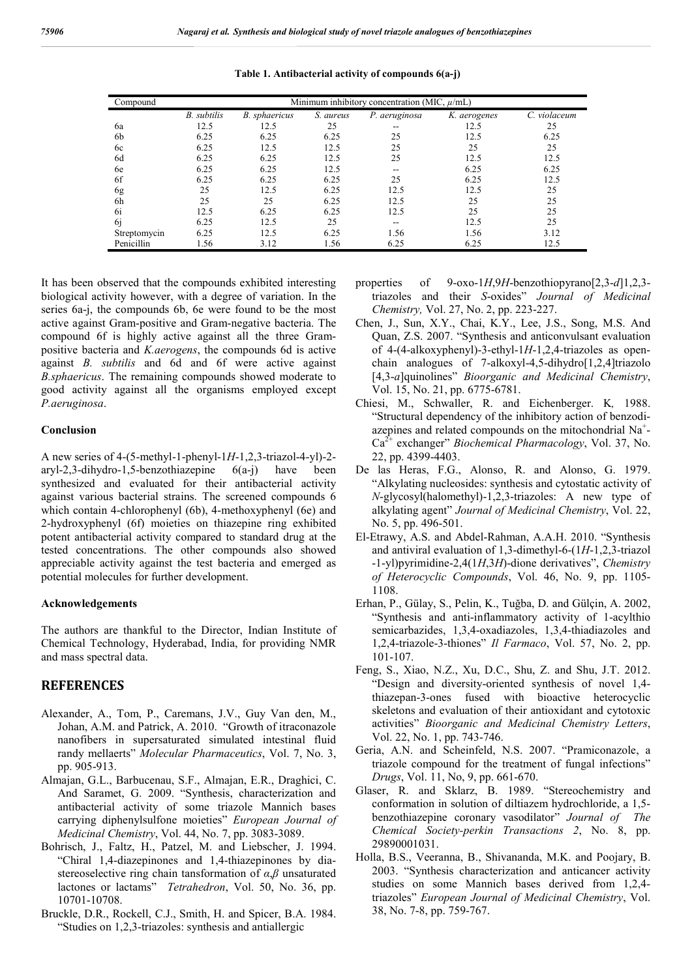| Compound     | Minimum inhibitory concentration (MIC, $\mu$ /mL) |               |           |                          |              |              |  |  |
|--------------|---------------------------------------------------|---------------|-----------|--------------------------|--------------|--------------|--|--|
|              | B. subtilis                                       | B. sphaericus | S. aureus | P. aeruginosa            | K. aerogenes | C. violaceum |  |  |
| 6a           | 12.5                                              | 12.5          | 25        | --                       | 12.5         | 25           |  |  |
| 6b           | 6.25                                              | 6.25          | 6.25      | 25                       | 12.5         | 6.25         |  |  |
| 6c           | 6.25                                              | 12.5          | 12.5      | 25                       | 25           | 25           |  |  |
| 6d           | 6.25                                              | 6.25          | 12.5      | 25                       | 12.5         | 12.5         |  |  |
| 6e           | 6.25                                              | 6.25          | 12.5      | $- -$                    | 6.25         | 6.25         |  |  |
| 6f           | 6.25                                              | 6.25          | 6.25      | 25                       | 6.25         | 12.5         |  |  |
| 6g           | 25                                                | 12.5          | 6.25      | 12.5                     | 12.5         | 25           |  |  |
| 6h           | 25                                                | 25            | 6.25      | 12.5                     | 25           | 25           |  |  |
| 6i           | 12.5                                              | 6.25          | 6.25      | 12.5                     | 25           | 25           |  |  |
| 6 <i>i</i>   | 6.25                                              | 12.5          | 25        | $\overline{\phantom{m}}$ | 12.5         | 25           |  |  |
| Streptomycin | 6.25                                              | 12.5          | 6.25      | 1.56                     | 1.56         | 3.12         |  |  |
| Penicillin   | 1.56                                              | 3.12          | 1.56      | 6.25                     | 6.25         | 12.5         |  |  |

**Table 1. Antibacterial activity of compounds 6(a-j)**

It has been observed that the compounds exhibited interesting biological activity however, with a degree of variation. In the series 6a-j, the compounds 6b, 6e were found to be the most active against Gram-positive and Gram-negative bacteria. The compound 6f is highly active against all the three Grampositive bacteria and *K.aerogens*, the compounds 6d is active against *B. subtilis* and 6d and 6f were active against *B.sphaericus*. The remaining compounds showed moderate to good activity against all the organisms employed except *P.aeruginosa*.

### **Conclusion**

A new series of 4-(5-methyl-1-phenyl-1*H*-1,2,3-triazol-4-yl)-2 aryl-2,3-dihydro-1,5-benzothiazepine 6(a-j) have been synthesized and evaluated for their antibacterial activity against various bacterial strains. The screened compounds 6 which contain 4-chlorophenyl (6b), 4-methoxyphenyl (6e) and 2-hydroxyphenyl (6f) moieties on thiazepine ring exhibited potent antibacterial activity compared to standard drug at the tested concentrations. The other compounds also showed appreciable activity against the test bacteria and emerged as potential molecules for further development.

#### **Acknowledgements**

The authors are thankful to the Director, Indian Institute of Chemical Technology, Hyderabad, India, for providing NMR and mass spectral data.

### **REFERENCES**

- Alexander, A., Tom, P., Caremans, J.V., Guy Van den, M., Johan, A.M. and Patrick, A. 2010. "Growth of itraconazole nanofibers in supersaturated simulated intestinal fluid randy mellaerts" *Molecular Pharmaceutics*, Vol. 7, No. 3, pp. 905-913.
- Almajan, G.L., Barbucenau, S.F., Almajan, E.R., Draghici, C. And Saramet, G. 2009. "Synthesis, characterization and antibacterial activity of some triazole Mannich bases carrying diphenylsulfone moieties" *European Journal of Medicinal Chemistry*, Vol. 44, No. 7, pp. 3083-3089.
- Bohrisch, J., Faltz, H., Patzel, M. and Liebscher, J. 1994. "Chiral 1,4-diazepinones and 1,4-thiazepinones by diastereoselective ring chain tansformation of *α*,*β* unsaturated lactones or lactams" *Tetrahedron*, Vol. 50, No. 36, pp. 10701-10708.
- Bruckle, D.R., Rockell, C.J., Smith, H. and Spicer, B.A. 1984. "Studies on 1,2,3-triazoles: synthesis and antiallergic
- properties of 9-oxo-1*H*,9*H*-benzothiopyrano[2,3-*d*]1,2,3 triazoles and their *S*-oxides" *Journal of Medicinal Chemistry,* Vol. 27, No. 2, pp. 223-227.
- Chen, J., Sun, X.Y., Chai, K.Y., Lee, J.S., Song, M.S. And Quan, Z.S. 2007. "Synthesis and anticonvulsant evaluation of 4-(4-alkoxyphenyl)-3-ethyl-1*H*-1,2,4-triazoles as openchain analogues of 7-alkoxyl-4,5-dihydro[1,2,4]triazolo [4,3-*a*]quinolines" *Bioorganic and Medicinal Chemistry*, Vol. 15, No. 21, pp. 6775-6781.
- Chiesi, M., Schwaller, R. and Eichenberger. K*,* 1988. "Structural dependency of the inhibitory action of benzodiazepines and related compounds on the mitochondrial Na<sup>+</sup>-Ca2+ exchanger" *Biochemical Pharmacology*, Vol. 37, No. 22, pp. 4399-4403.
- De las Heras, F.G., Alonso, R. and Alonso, G. 1979. "Alkylating nucleosides: synthesis and cytostatic activity of *N*-glycosyl(halomethyl)-1,2,3-triazoles: A new type of alkylating agent" *Journal of Medicinal Chemistry*, Vol. 22, No. 5, pp. 496-501.
- El-Etrawy, A.S. and Abdel-Rahman, A.A.H. 2010. "Synthesis and antiviral evaluation of 1,3-dimethyl-6-(1*H*-1,2,3-triazol -1-yl)pyrimidine-2,4(1*H*,3*H*)-dione derivatives", *Chemistry of Heterocyclic Compounds*, Vol. 46, No. 9, pp. 1105- 1108.
- Erhan, P., Gülay, S., Pelin, K., Tuğba, D. and Gülçin, A. 2002, "Synthesis and anti-inflammatory activity of 1-acylthio semicarbazides, 1,3,4-oxadiazoles, 1,3,4-thiadiazoles and 1,2,4-triazole-3-thiones" *Il Farmaco*, Vol. 57, No. 2, pp. 101-107.
- Feng, S., Xiao, N.Z., Xu, D.C., Shu, Z. and Shu, J.T. 2012. "Design and diversity-oriented synthesis of novel 1,4 thiazepan-3-ones fused with bioactive heterocyclic skeletons and evaluation of their antioxidant and cytotoxic activities" *Bioorganic and Medicinal Chemistry Letters*, Vol. 22, No. 1, pp. 743-746.
- Geria, A.N. and Scheinfeld, N.S. 2007. "Pramiconazole, a triazole compound for the treatment of fungal infections" *Drugs*, Vol. 11, No, 9, pp. 661-670.
- Glaser, R. and Sklarz, B. 1989. "Stereochemistry and conformation in solution of diltiazem hydrochloride, a 1,5 benzothiazepine coronary vasodilator" *Journal of The Chemical Society-perkin Transactions 2*, No. 8, pp. 29890001031.
- Holla, B.S., Veeranna, B., Shivananda, M.K. and Poojary, B. 2003. "Synthesis characterization and anticancer activity studies on some Mannich bases derived from 1,2,4 triazoles" *European Journal of Medicinal Chemistry*, Vol. 38, No. 7-8, pp. 759-767.